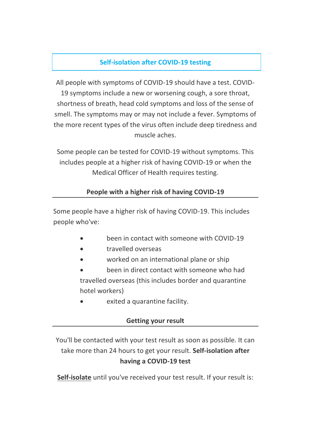## **Self-isolation after COVID-19 testing**

All people with symptoms of COVID-19 should have a test. COVID-19 symptoms include a new or worsening cough, a sore throat, shortness of breath, head cold symptoms and loss of the sense of smell. The symptoms may or may not include a fever. Symptoms of the more recent types of the virus often include deep tiredness and muscle aches.

Some people can be tested for COVID-19 without symptoms. This includes people at a higher risk of having COVID-19 or when the Medical Officer of Health requires testing.

## **People with a higher risk of having COVID-19**

Some people have a higher risk of having COVID-19. This includes people who've:

- been in contact with someone with COVID-19
- travelled overseas
- worked on an international plane or ship

• been in direct contact with someone who had travelled overseas (this includes border and quarantine hotel workers)

exited a quarantine facility.

## **Getting your result**

You'll be contacted with your test result as soon as possible. It can take more than 24 hours to get your result. **Self-isolation after having a COVID-19 test**

**[Self-isolate](https://covid19.govt.nz/health-and-wellbeing/protect-yourself-and-others/stay-home-if-youre-sick/)** until you've received your test result. If your result is: